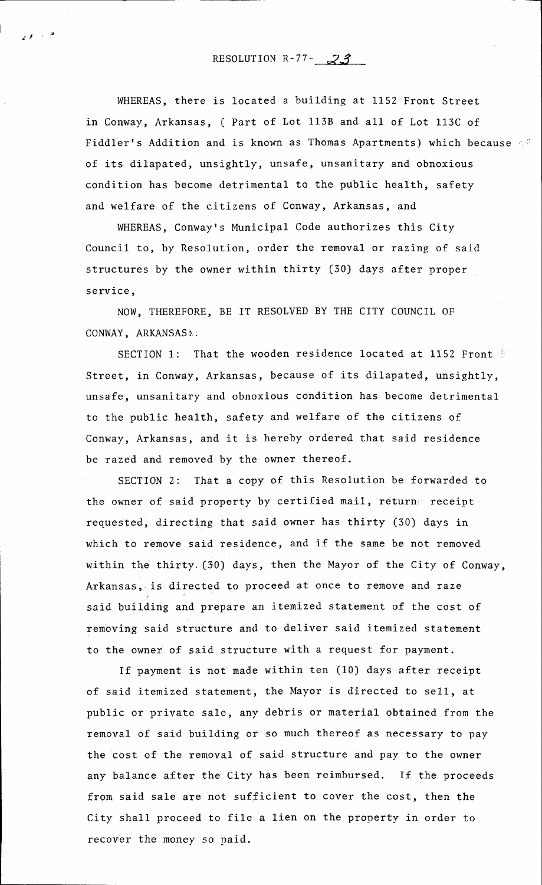## RESOLUTION R-77-  $\mathcal{Z}$ 3

 $\cdot$ 

WHEREAS, there is located a building at 1152 Front Street in Conway, Arkansas, ( Part of Lot 1138 and all of Lot 113C of Fiddler's Addition and is known as Thomas Apartments) which because  $\leq$ of its dilapated, unsightly, unsafe, unsanitary and obnoxious condition has become detrimental to the public health, safety and welfare of the citizens of Conway, Arkansas, and

WHEREAS, Conway's Municipal Code authorizes this City Council to, by Resolution, order the removal or razing of said structures by the owner within thirty (30) days affer proper service,

NOW, THEREFORE, BE IT RESOLVED BY THE CITY COUNCIL OF CONWAY, ARKANSASA:

SECTION 1: That the wooden residence located at 1152 Front  $S$ Street, in Conway, Arkansas, because of its dilapated, unsightly, unsafe, unsanitary and obnoxious condition has become detrimental to the public health, safety and welfare of the citizens of Conway, Arkansas, and it is hereby ordered that said residence be razed and removed by the owner thereof.

SECTION 2: That a copy of this Resolution be forwarded to the owner of said property by certified mail, returne receipt requested, directing that said owner has thirty (30) days in which to remove said residence, and if the same be not removed within the thirty. (30) days, then the Mayor of the City of Conway, Arkansas, is directed to proceed at once to remove and raze said building and prepare an itemized statement of the cost of removing said structure and to deliver said itemized statement to the owner of said structure with a request for payment.

If payment is not made within ten (10) days after receipt of said itemized statement, the Mayor is directed to sell, at public or private sale, any debris or material obtained from the removal of said building or so much thereof as necessary to pay the cost of the renoval of said structure and pay to the owner any balance after the City has been reinbursed. If the proceeds from said sale are not sufficient to cover the cost, then the City shall proceed to file a lien on the property in order to recover the money so paid.